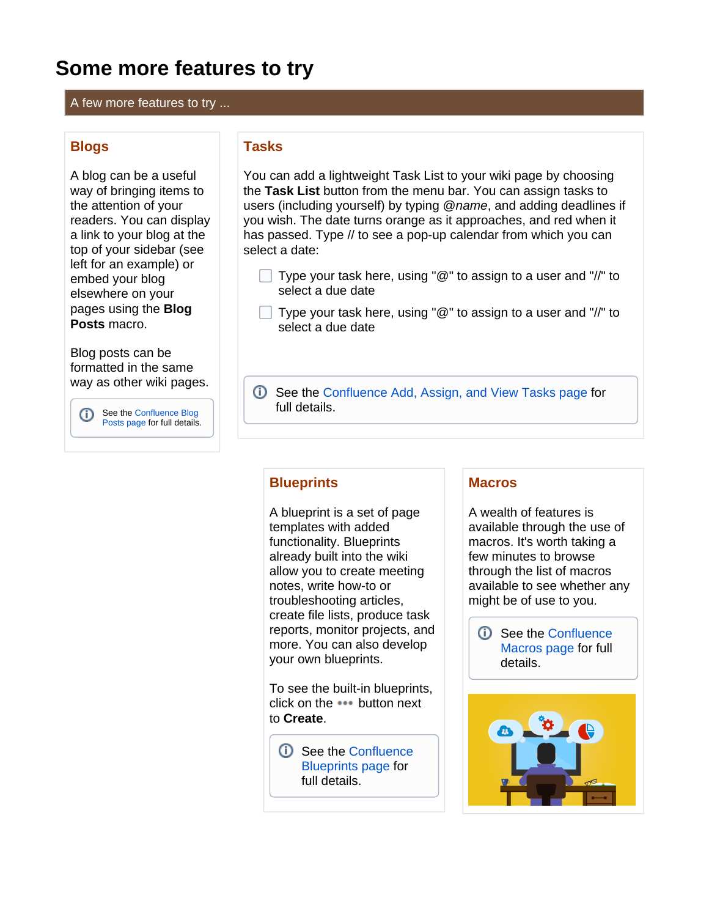# **Some more features to try**

A few more features to try ...

### **Blogs**

A blog can be a useful way of bringing items to the attention of your readers. You can display a link to your blog at the top of your sidebar (see left for an example) or embed your blog elsewhere on your pages using the **Blog Posts** macro.

Blog posts can be formatted in the same way as other wiki pages.

> See the [Confluence Blog](https://confluence.atlassian.com/conf74/blog-posts-1003128336.html)  [Posts page](https://confluence.atlassian.com/conf74/blog-posts-1003128336.html) for full details.

# **Tasks**

You can add a lightweight Task List to your wiki page by choosing the **Task List** button from the menu bar. You can assign tasks to users (including yourself) by typing @name, and adding deadlines if you wish. The date turns orange as it approaches, and red when it has passed. Type // to see a pop-up calendar from which you can select a date:

- Type your task here, using "@" to assign to a user and "//" to select a due date
- $\Box$  Type your task here, using " $\mathcal{Q}$ " to assign to a user and "//" to select a due date
- See the [Confluence Add, Assign, and View Tasks page](https://confluence.atlassian.com/conf74/add-assign-and-view-tasks-1003128521.html) for full details.

### **Blueprints**

A blueprint is a set of page templates with added functionality. Blueprints already built into the wiki allow you to create meeting notes, write how-to or troubleshooting articles, create file lists, produce task reports, monitor projects, and more. You can also develop your own blueprints.

To see the built-in blueprints, click on the  $\cdots$  button next to **Create**.

**D** See the Confluence [Blueprints page](https://confluence.atlassian.com/conf74/blueprints-1003128593.html) for full details.

#### **Macros**

A wealth of features is available through the use of macros. It's worth taking a few minutes to browse through the list of macros available to see whether any might be of use to you.

**CD** See the Confluence [Macros page](https://confluence.atlassian.com/conf74/macros-1003128798.html) for full details.